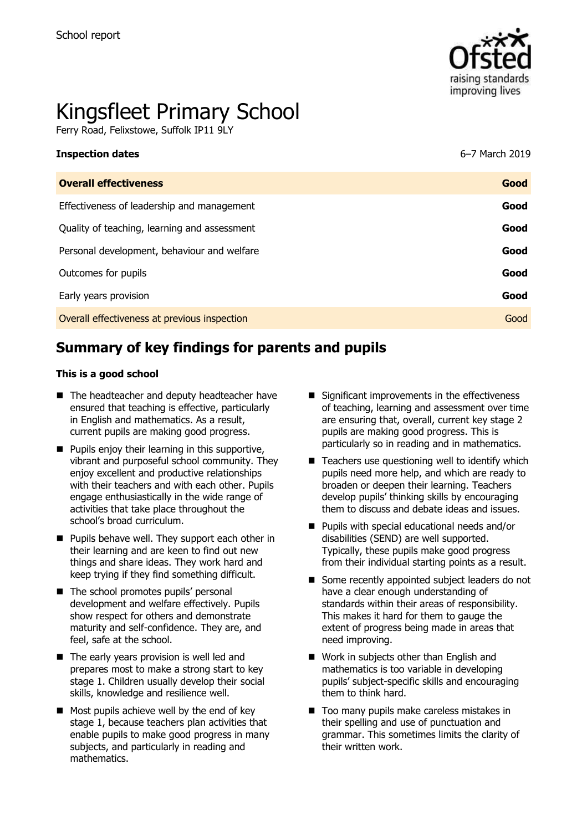

# Kingsfleet Primary School

Ferry Road, Felixstowe, Suffolk IP11 9LY

| <b>Overall effectiveness</b>                 | Good |
|----------------------------------------------|------|
| Effectiveness of leadership and management   | Good |
| Quality of teaching, learning and assessment | Good |
| Personal development, behaviour and welfare  | Good |
| Outcomes for pupils                          | Good |
| Early years provision                        | Good |
| Overall effectiveness at previous inspection | Good |
|                                              |      |

**Inspection dates** 6–7 March 2019

# **Summary of key findings for parents and pupils**

#### **This is a good school**

- The headteacher and deputy headteacher have ensured that teaching is effective, particularly in English and mathematics. As a result, current pupils are making good progress.
- $\blacksquare$  Pupils enjoy their learning in this supportive, vibrant and purposeful school community. They enjoy excellent and productive relationships with their teachers and with each other. Pupils engage enthusiastically in the wide range of activities that take place throughout the school's broad curriculum.
- **Pupils behave well. They support each other in** their learning and are keen to find out new things and share ideas. They work hard and keep trying if they find something difficult.
- The school promotes pupils' personal development and welfare effectively. Pupils show respect for others and demonstrate maturity and self-confidence. They are, and feel, safe at the school.
- The early years provision is well led and prepares most to make a strong start to key stage 1. Children usually develop their social skills, knowledge and resilience well.
- Most pupils achieve well by the end of key stage 1, because teachers plan activities that enable pupils to make good progress in many subjects, and particularly in reading and mathematics.
- $\blacksquare$  Significant improvements in the effectiveness of teaching, learning and assessment over time are ensuring that, overall, current key stage 2 pupils are making good progress. This is particularly so in reading and in mathematics.
- $\blacksquare$  Teachers use questioning well to identify which pupils need more help, and which are ready to broaden or deepen their learning. Teachers develop pupils' thinking skills by encouraging them to discuss and debate ideas and issues.
- **Pupils with special educational needs and/or** disabilities (SEND) are well supported. Typically, these pupils make good progress from their individual starting points as a result.
- Some recently appointed subject leaders do not have a clear enough understanding of standards within their areas of responsibility. This makes it hard for them to gauge the extent of progress being made in areas that need improving.
- Work in subjects other than English and mathematics is too variable in developing pupils' subject-specific skills and encouraging them to think hard.
- Too many pupils make careless mistakes in their spelling and use of punctuation and grammar. This sometimes limits the clarity of their written work.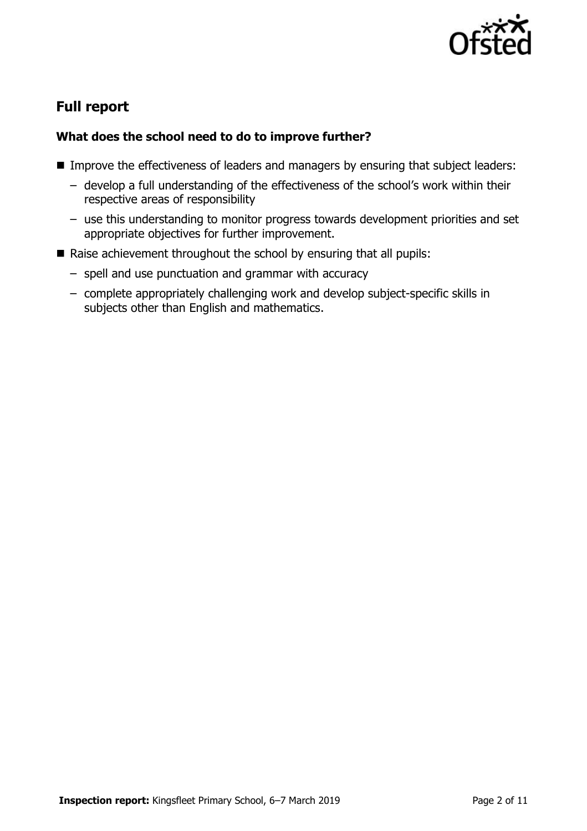

# **Full report**

### **What does the school need to do to improve further?**

- **IMPROVE the effectiveness of leaders and managers by ensuring that subject leaders:** 
	- develop a full understanding of the effectiveness of the school's work within their respective areas of responsibility
	- use this understanding to monitor progress towards development priorities and set appropriate objectives for further improvement.
- Raise achievement throughout the school by ensuring that all pupils:
	- spell and use punctuation and grammar with accuracy
	- complete appropriately challenging work and develop subject-specific skills in subjects other than English and mathematics.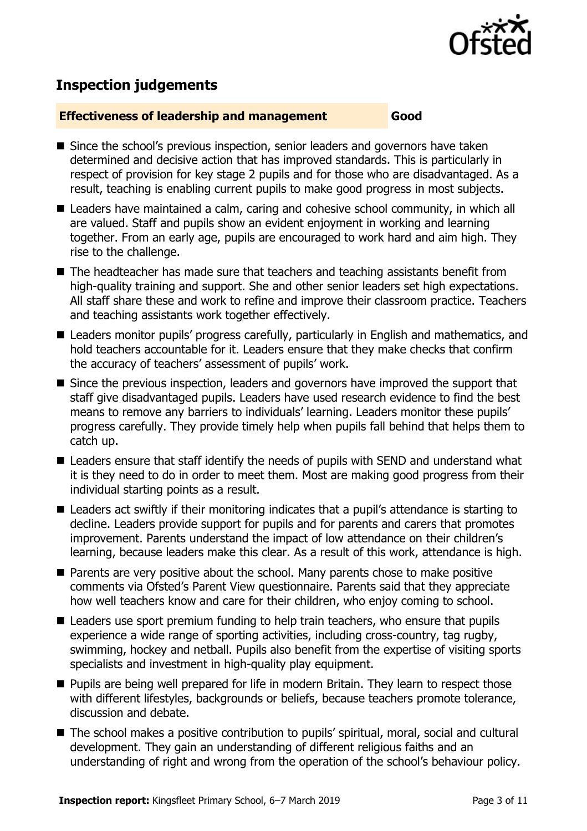

# **Inspection judgements**

#### **Effectiveness of leadership and management Good**

- Since the school's previous inspection, senior leaders and governors have taken determined and decisive action that has improved standards. This is particularly in respect of provision for key stage 2 pupils and for those who are disadvantaged. As a result, teaching is enabling current pupils to make good progress in most subjects.
- Leaders have maintained a calm, caring and cohesive school community, in which all are valued. Staff and pupils show an evident enjoyment in working and learning together. From an early age, pupils are encouraged to work hard and aim high. They rise to the challenge.
- The headteacher has made sure that teachers and teaching assistants benefit from high-quality training and support. She and other senior leaders set high expectations. All staff share these and work to refine and improve their classroom practice. Teachers and teaching assistants work together effectively.
- Leaders monitor pupils' progress carefully, particularly in English and mathematics, and hold teachers accountable for it. Leaders ensure that they make checks that confirm the accuracy of teachers' assessment of pupils' work.
- Since the previous inspection, leaders and governors have improved the support that staff give disadvantaged pupils. Leaders have used research evidence to find the best means to remove any barriers to individuals' learning. Leaders monitor these pupils' progress carefully. They provide timely help when pupils fall behind that helps them to catch up.
- Leaders ensure that staff identify the needs of pupils with SEND and understand what it is they need to do in order to meet them. Most are making good progress from their individual starting points as a result.
- Leaders act swiftly if their monitoring indicates that a pupil's attendance is starting to decline. Leaders provide support for pupils and for parents and carers that promotes improvement. Parents understand the impact of low attendance on their children's learning, because leaders make this clear. As a result of this work, attendance is high.
- **Parents are very positive about the school. Many parents chose to make positive** comments via Ofsted's Parent View questionnaire. Parents said that they appreciate how well teachers know and care for their children, who enjoy coming to school.
- Leaders use sport premium funding to help train teachers, who ensure that pupils experience a wide range of sporting activities, including cross-country, tag rugby, swimming, hockey and netball. Pupils also benefit from the expertise of visiting sports specialists and investment in high-quality play equipment.
- **Pupils are being well prepared for life in modern Britain. They learn to respect those** with different lifestyles, backgrounds or beliefs, because teachers promote tolerance, discussion and debate.
- The school makes a positive contribution to pupils' spiritual, moral, social and cultural development. They gain an understanding of different religious faiths and an understanding of right and wrong from the operation of the school's behaviour policy.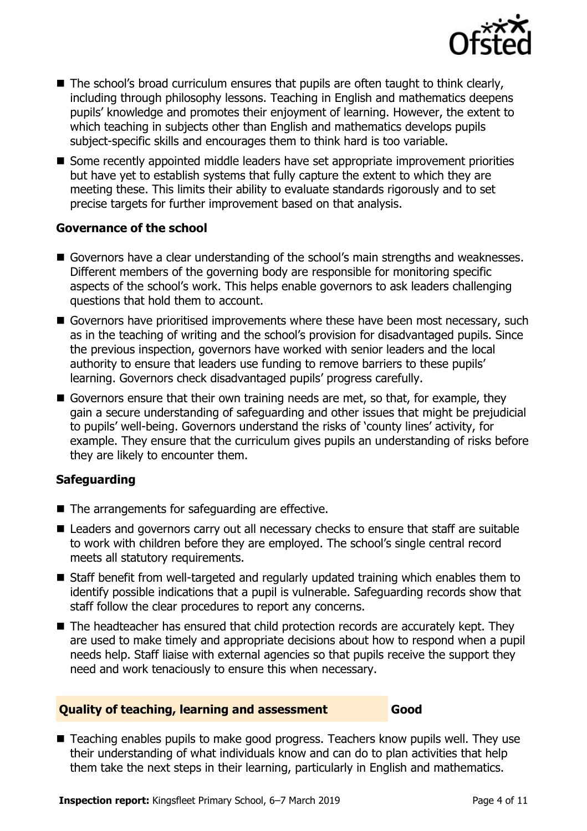

- The school's broad curriculum ensures that pupils are often taught to think clearly, including through philosophy lessons. Teaching in English and mathematics deepens pupils' knowledge and promotes their enjoyment of learning. However, the extent to which teaching in subjects other than English and mathematics develops pupils subject-specific skills and encourages them to think hard is too variable.
- Some recently appointed middle leaders have set appropriate improvement priorities but have yet to establish systems that fully capture the extent to which they are meeting these. This limits their ability to evaluate standards rigorously and to set precise targets for further improvement based on that analysis.

#### **Governance of the school**

- Governors have a clear understanding of the school's main strengths and weaknesses. Different members of the governing body are responsible for monitoring specific aspects of the school's work. This helps enable governors to ask leaders challenging questions that hold them to account.
- Governors have prioritised improvements where these have been most necessary, such as in the teaching of writing and the school's provision for disadvantaged pupils. Since the previous inspection, governors have worked with senior leaders and the local authority to ensure that leaders use funding to remove barriers to these pupils' learning. Governors check disadvantaged pupils' progress carefully.
- Governors ensure that their own training needs are met, so that, for example, they gain a secure understanding of safeguarding and other issues that might be prejudicial to pupils' well-being. Governors understand the risks of 'county lines' activity, for example. They ensure that the curriculum gives pupils an understanding of risks before they are likely to encounter them.

#### **Safeguarding**

- The arrangements for safeguarding are effective.
- Leaders and governors carry out all necessary checks to ensure that staff are suitable to work with children before they are employed. The school's single central record meets all statutory requirements.
- Staff benefit from well-targeted and regularly updated training which enables them to identify possible indications that a pupil is vulnerable. Safeguarding records show that staff follow the clear procedures to report any concerns.
- The headteacher has ensured that child protection records are accurately kept. They are used to make timely and appropriate decisions about how to respond when a pupil needs help. Staff liaise with external agencies so that pupils receive the support they need and work tenaciously to ensure this when necessary.

#### **Quality of teaching, learning and assessment Good**

■ Teaching enables pupils to make good progress. Teachers know pupils well. They use their understanding of what individuals know and can do to plan activities that help them take the next steps in their learning, particularly in English and mathematics.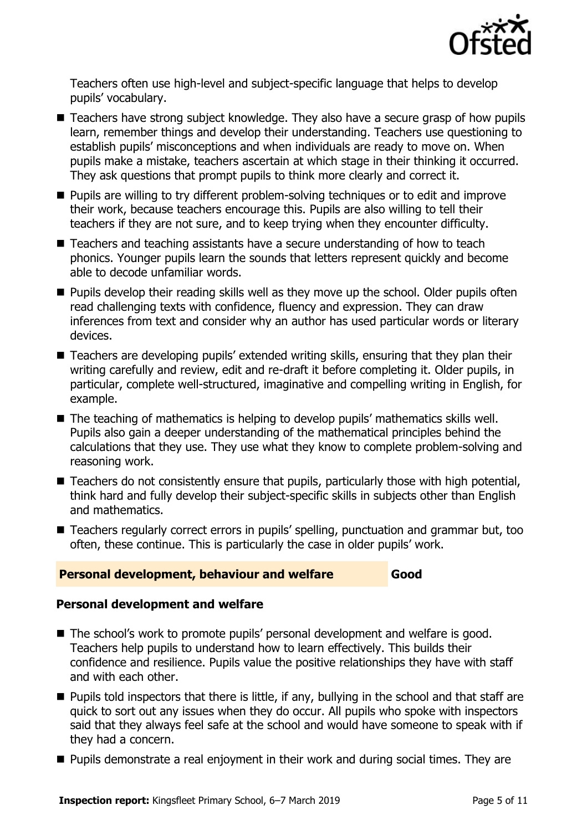

Teachers often use high-level and subject-specific language that helps to develop pupils' vocabulary.

- Teachers have strong subject knowledge. They also have a secure grasp of how pupils learn, remember things and develop their understanding. Teachers use questioning to establish pupils' misconceptions and when individuals are ready to move on. When pupils make a mistake, teachers ascertain at which stage in their thinking it occurred. They ask questions that prompt pupils to think more clearly and correct it.
- **Pupils are willing to try different problem-solving techniques or to edit and improve** their work, because teachers encourage this. Pupils are also willing to tell their teachers if they are not sure, and to keep trying when they encounter difficulty.
- Teachers and teaching assistants have a secure understanding of how to teach phonics. Younger pupils learn the sounds that letters represent quickly and become able to decode unfamiliar words.
- **Pupils develop their reading skills well as they move up the school. Older pupils often** read challenging texts with confidence, fluency and expression. They can draw inferences from text and consider why an author has used particular words or literary devices.
- Teachers are developing pupils' extended writing skills, ensuring that they plan their writing carefully and review, edit and re-draft it before completing it. Older pupils, in particular, complete well-structured, imaginative and compelling writing in English, for example.
- The teaching of mathematics is helping to develop pupils' mathematics skills well. Pupils also gain a deeper understanding of the mathematical principles behind the calculations that they use. They use what they know to complete problem-solving and reasoning work.
- Teachers do not consistently ensure that pupils, particularly those with high potential, think hard and fully develop their subject-specific skills in subjects other than English and mathematics.
- Teachers regularly correct errors in pupils' spelling, punctuation and grammar but, too often, these continue. This is particularly the case in older pupils' work.

#### **Personal development, behaviour and welfare Good**

#### **Personal development and welfare**

- The school's work to promote pupils' personal development and welfare is good. Teachers help pupils to understand how to learn effectively. This builds their confidence and resilience. Pupils value the positive relationships they have with staff and with each other.
- $\blacksquare$  Pupils told inspectors that there is little, if any, bullying in the school and that staff are quick to sort out any issues when they do occur. All pupils who spoke with inspectors said that they always feel safe at the school and would have someone to speak with if they had a concern.
- **Pupils demonstrate a real enjoyment in their work and during social times. They are**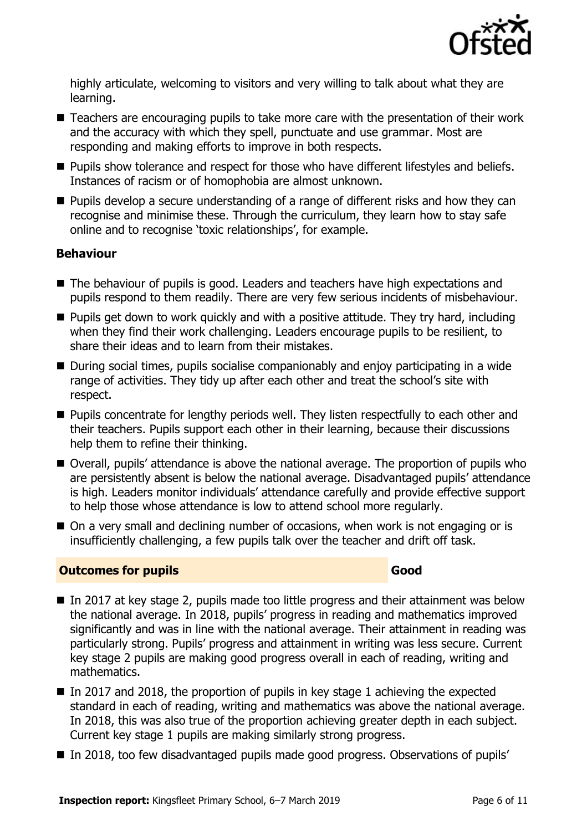

highly articulate, welcoming to visitors and very willing to talk about what they are learning.

- Teachers are encouraging pupils to take more care with the presentation of their work and the accuracy with which they spell, punctuate and use grammar. Most are responding and making efforts to improve in both respects.
- **Pupils show tolerance and respect for those who have different lifestyles and beliefs.** Instances of racism or of homophobia are almost unknown.
- **Pupils develop a secure understanding of a range of different risks and how they can** recognise and minimise these. Through the curriculum, they learn how to stay safe online and to recognise 'toxic relationships', for example.

#### **Behaviour**

- The behaviour of pupils is good. Leaders and teachers have high expectations and pupils respond to them readily. There are very few serious incidents of misbehaviour.
- **Pupils get down to work quickly and with a positive attitude. They try hard, including** when they find their work challenging. Leaders encourage pupils to be resilient, to share their ideas and to learn from their mistakes.
- During social times, pupils socialise companionably and enjoy participating in a wide range of activities. They tidy up after each other and treat the school's site with respect.
- **Pupils concentrate for lengthy periods well. They listen respectfully to each other and** their teachers. Pupils support each other in their learning, because their discussions help them to refine their thinking.
- Overall, pupils' attendance is above the national average. The proportion of pupils who are persistently absent is below the national average. Disadvantaged pupils' attendance is high. Leaders monitor individuals' attendance carefully and provide effective support to help those whose attendance is low to attend school more regularly.
- On a very small and declining number of occasions, when work is not engaging or is insufficiently challenging, a few pupils talk over the teacher and drift off task.

#### **Outcomes for pupils Good**

- In 2017 at key stage 2, pupils made too little progress and their attainment was below the national average. In 2018, pupils' progress in reading and mathematics improved significantly and was in line with the national average. Their attainment in reading was particularly strong. Pupils' progress and attainment in writing was less secure. Current key stage 2 pupils are making good progress overall in each of reading, writing and mathematics.
- In 2017 and 2018, the proportion of pupils in key stage 1 achieving the expected standard in each of reading, writing and mathematics was above the national average. In 2018, this was also true of the proportion achieving greater depth in each subject. Current key stage 1 pupils are making similarly strong progress.
- In 2018, too few disadvantaged pupils made good progress. Observations of pupils'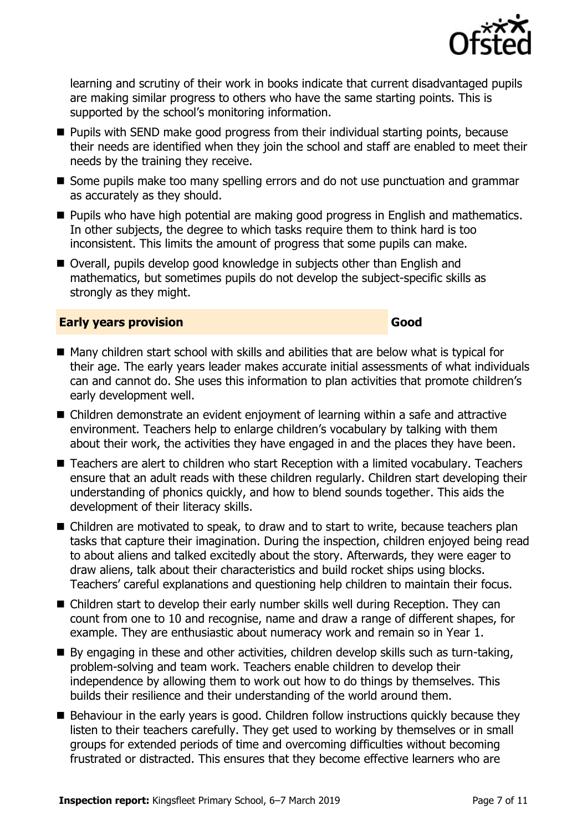

learning and scrutiny of their work in books indicate that current disadvantaged pupils are making similar progress to others who have the same starting points. This is supported by the school's monitoring information.

- **Pupils with SEND make good progress from their individual starting points, because** their needs are identified when they join the school and staff are enabled to meet their needs by the training they receive.
- Some pupils make too many spelling errors and do not use punctuation and grammar as accurately as they should.
- **Pupils who have high potential are making good progress in English and mathematics.** In other subjects, the degree to which tasks require them to think hard is too inconsistent. This limits the amount of progress that some pupils can make.
- Overall, pupils develop good knowledge in subjects other than English and mathematics, but sometimes pupils do not develop the subject-specific skills as strongly as they might.

#### **Early years provision Good Good**

- Many children start school with skills and abilities that are below what is typical for their age. The early years leader makes accurate initial assessments of what individuals can and cannot do. She uses this information to plan activities that promote children's early development well.
- Children demonstrate an evident enjoyment of learning within a safe and attractive environment. Teachers help to enlarge children's vocabulary by talking with them about their work, the activities they have engaged in and the places they have been.
- Teachers are alert to children who start Reception with a limited vocabulary. Teachers ensure that an adult reads with these children regularly. Children start developing their understanding of phonics quickly, and how to blend sounds together. This aids the development of their literacy skills.
- Children are motivated to speak, to draw and to start to write, because teachers plan tasks that capture their imagination. During the inspection, children enjoyed being read to about aliens and talked excitedly about the story. Afterwards, they were eager to draw aliens, talk about their characteristics and build rocket ships using blocks. Teachers' careful explanations and questioning help children to maintain their focus.
- Children start to develop their early number skills well during Reception. They can count from one to 10 and recognise, name and draw a range of different shapes, for example. They are enthusiastic about numeracy work and remain so in Year 1.
- By engaging in these and other activities, children develop skills such as turn-taking, problem-solving and team work. Teachers enable children to develop their independence by allowing them to work out how to do things by themselves. This builds their resilience and their understanding of the world around them.
- Behaviour in the early years is good. Children follow instructions quickly because they listen to their teachers carefully. They get used to working by themselves or in small groups for extended periods of time and overcoming difficulties without becoming frustrated or distracted. This ensures that they become effective learners who are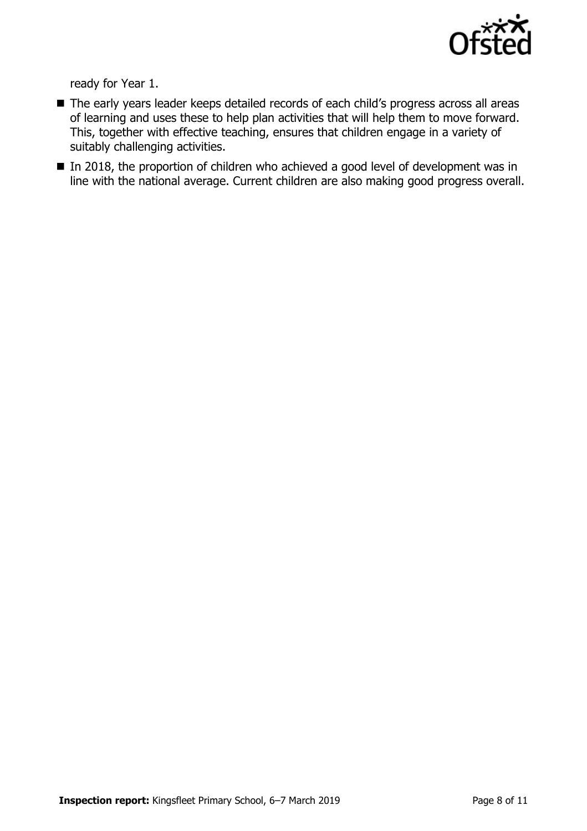

ready for Year 1.

- The early years leader keeps detailed records of each child's progress across all areas of learning and uses these to help plan activities that will help them to move forward. This, together with effective teaching, ensures that children engage in a variety of suitably challenging activities.
- In 2018, the proportion of children who achieved a good level of development was in line with the national average. Current children are also making good progress overall.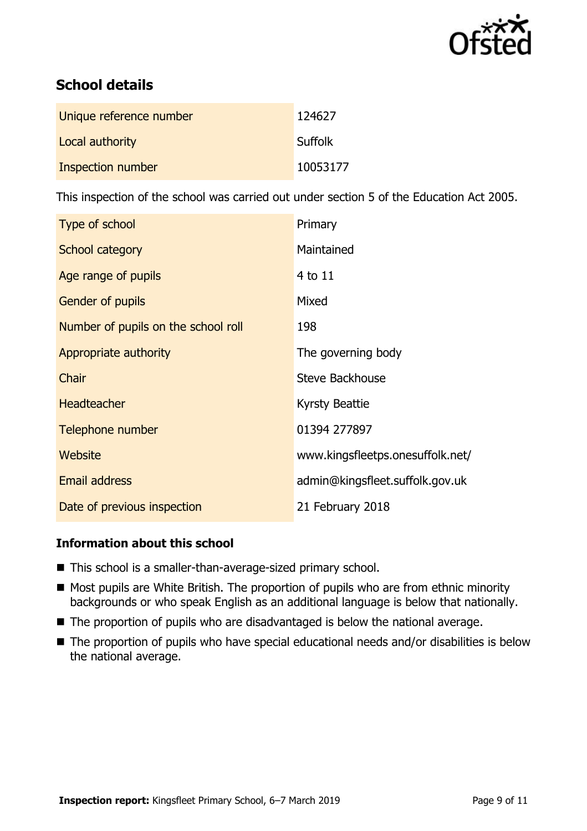

# **School details**

| Unique reference number | 124627         |
|-------------------------|----------------|
| Local authority         | <b>Suffolk</b> |
| Inspection number       | 10053177       |

This inspection of the school was carried out under section 5 of the Education Act 2005.

| Type of school                      | Primary                          |
|-------------------------------------|----------------------------------|
| School category                     | Maintained                       |
| Age range of pupils                 | 4 to 11                          |
| Gender of pupils                    | Mixed                            |
| Number of pupils on the school roll | 198                              |
| Appropriate authority               | The governing body               |
| Chair                               | Steve Backhouse                  |
| <b>Headteacher</b>                  | <b>Kyrsty Beattie</b>            |
| Telephone number                    | 01394 277897                     |
| Website                             | www.kingsfleetps.onesuffolk.net/ |
| Email address                       | admin@kingsfleet.suffolk.gov.uk  |
| Date of previous inspection         | 21 February 2018                 |

#### **Information about this school**

- This school is a smaller-than-average-sized primary school.
- Most pupils are White British. The proportion of pupils who are from ethnic minority backgrounds or who speak English as an additional language is below that nationally.
- The proportion of pupils who are disadvantaged is below the national average.
- The proportion of pupils who have special educational needs and/or disabilities is below the national average.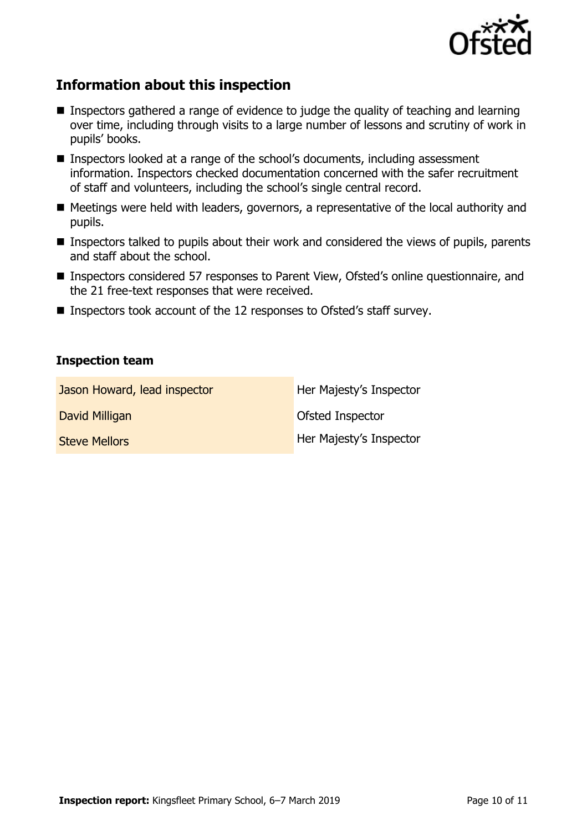

# **Information about this inspection**

- Inspectors gathered a range of evidence to judge the quality of teaching and learning over time, including through visits to a large number of lessons and scrutiny of work in pupils' books.
- Inspectors looked at a range of the school's documents, including assessment information. Inspectors checked documentation concerned with the safer recruitment of staff and volunteers, including the school's single central record.
- Meetings were held with leaders, governors, a representative of the local authority and pupils.
- **Inspectors talked to pupils about their work and considered the views of pupils, parents** and staff about the school.
- Inspectors considered 57 responses to Parent View, Ofsted's online questionnaire, and the 21 free-text responses that were received.
- Inspectors took account of the 12 responses to Ofsted's staff survey.

#### **Inspection team**

| Jason Howard, lead inspector | Her Majesty's Inspector |
|------------------------------|-------------------------|
| David Milligan               | Ofsted Inspector        |
| <b>Steve Mellors</b>         | Her Majesty's Inspector |